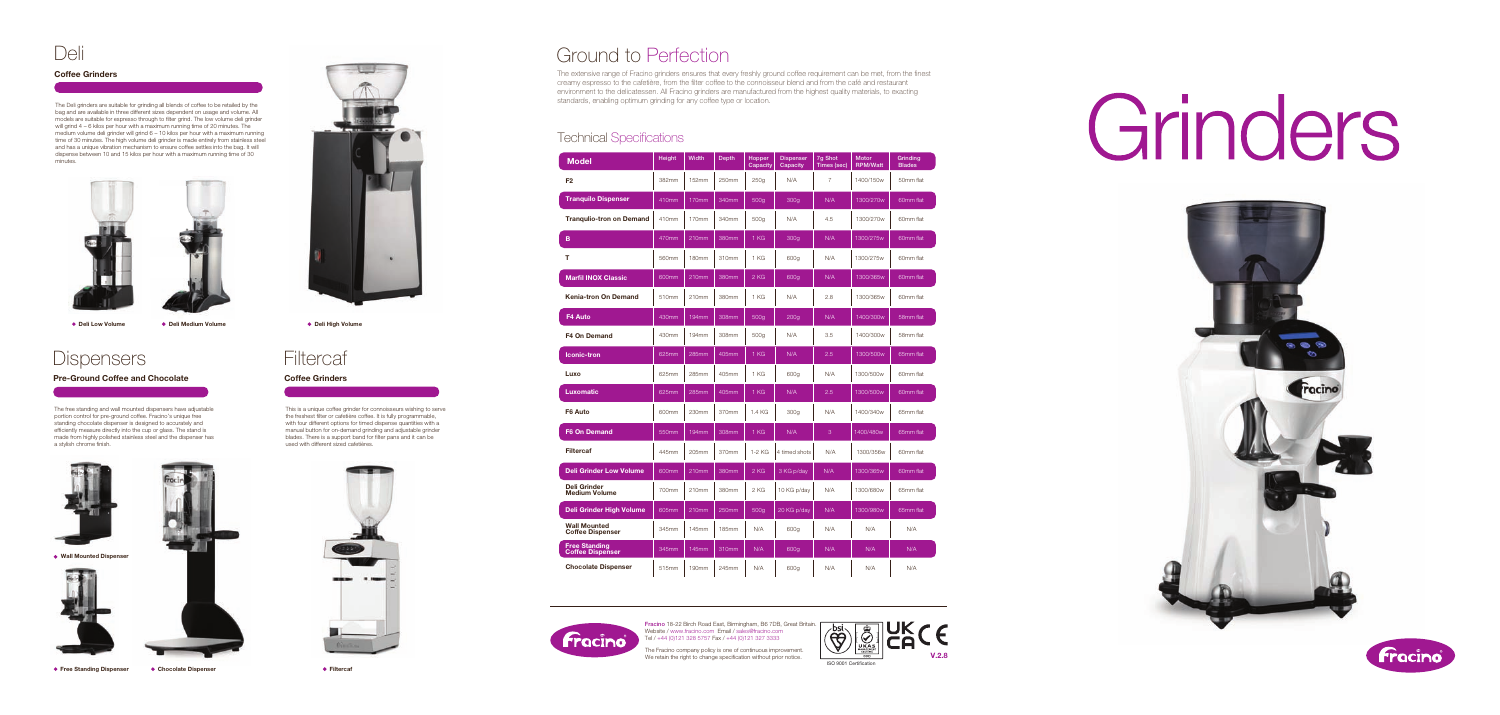Wall Mounted Dispenser





● Free Standing Dispenser ● Chocolate Dispenser



**Deli Low Volume ● Deli Medium Volume ● Deli High Volume** 

# **Filtercaf**

Ground to Perfection

The extensive range of Fracino grinders ensures that every freshly ground coffee requirement can be met, from the finest creamy espresso to the cafetière, from the filter coffee to the connoisseur blend and from the café and restaurant environment to the delicatessen. All Fracino grinders are manufactured from the highest quality materials, to exacting standards, enabling optimum grinding for any coffee type or location.

#### **Technical Specifications**

The free standing and wall mounted dispensers have adjustable portion control for pre-ground coffee. Fracino's unique free standing chocolate dispenser is designed to accurately and efficiently measure directly into the cup or glass. The stand is made from highly polished stainless steel and the dispenser has a stylish chrome finish.



Coffee Grinders

This is a unique coffee grinder for connoisseurs wishing to serve the freshest filter or cafetière coffee. It is fully programmable, with four different options for timed dispense quantities with a manual button for on-demand grinding and adjustable grinder blades. There is a support band for filter pans and it can be used with different sized cafetières.



The Fracino company policy is one of continuous improvement. We retain the right to change specification without prior notice.

**•** Filtercaf

Pre-Ground Coffee and Chocolate



Fracino 18-22 Birch Road East, Birmingham, B6 7DB, Great Britain. Website / www.fracino.com Email / sales@fracino.com Tel / +44 (0)121 328 5757 Fax / +44 (0)121 327 3333



bsi.<br>C V.2.8 ISO 9001 Certication





| Model                                           | Height | <b>Width</b>      | <b>Depth</b> | Hopper<br>Capacity | <b>Dispenser</b><br>Capacity | 7g Shot<br>Times (sec) | <b>Motor</b><br><b>RPM/Watt</b> | Grinding<br><b>Blades</b> |
|-------------------------------------------------|--------|-------------------|--------------|--------------------|------------------------------|------------------------|---------------------------------|---------------------------|
| F <sub>2</sub>                                  | 382mm  | 152mm             | 250mm        | 250q               | N/A                          | 7                      | 1400/150w                       | 50mm flat                 |
| <b>Tranquilo Dispenser</b>                      | 410mm  | 170mm             | 340mm        | 500g               | 300 <sub>g</sub>             | N/A                    | 1300/270w                       | 60mm flat                 |
| <b>Trangulio-tron on Demand</b>                 | 410mm  | 170mm             | 340mm        | 500g               | N/A                          | 4.5                    | 1300/270w                       | 60mm flat                 |
| B                                               | 470mm  | 210 <sub>mm</sub> | 380mm        | 1 KG               | 300 <sub>g</sub>             | N/A                    | 1300/275w                       | 60mm flat                 |
| т                                               | 560mm  | 180mm             | 310mm        | 1 KG               | 600g                         | N/A                    | 1300/275w                       | 60mm flat                 |
| <b>Marfil INOX Classic</b>                      | 600mm  | 210mm             | 380mm        | 2 KG               | 600g                         | N/A                    | 1300/365w                       | 60mm flat                 |
| <b>Kenia-tron On Demand</b>                     | 510mm  | 210mm             | 380mm        | 1 KG               | N/A                          | 2.8                    | 1300/365w                       | 60mm flat                 |
| F4 Auto                                         | 430mm  | 194mm             | 308mm        | 500g               | 200 <sub>g</sub>             | N/A                    | 1400/300w                       | 58mm flat                 |
| <b>F4 On Demand</b>                             | 430mm  | 194mm             | 308mm        | 500g               | N/A                          | 3.5                    | 1400/300w                       | 58mm flat                 |
| <b>Iconic-tron</b>                              | 625mm  | 285mm             | 405mm        | 1 KG               | N/A                          | 2.5                    | 1300/500w                       | 65mm flat                 |
| Luxo                                            | 625mm  | 285mm             | 405mm        | 1 KG               | 600g                         | N/A                    | 1300/500w                       | 60mm flat                 |
| Luxomatic                                       | 625mm  | 285mm             | 405mm        | 1 KG               | N/A                          | 2.5                    | 1300/500w                       | 60mm flat                 |
| F6 Auto                                         | 600mm  | 230mm             | 370mm        | 1.4 KG             | 300 <sub>g</sub>             | N/A                    | 1400/340w                       | 65mm flat                 |
| F6 On Demand                                    | 550mm  | 194mm             | 308mm        | 1 KG               | N/A                          | 3                      | 1400/480w                       | 65mm flat                 |
| <b>Filtercaf</b>                                | 445mm  | 205mm             | 370mm        | 1-2 KG             | 4 timed shots                | N/A                    | 1300/356w                       | 60mm flat                 |
| <b>Deli Grinder Low Volume</b>                  | 600mm  | 210mm             | 380mm        | 2 KG               | 3 KG p/day                   | N/A                    | 1300/365w                       | 60mm flat                 |
| Deli Grinder<br><b>Medium Volume</b>            | 700mm  | 210mm             | 380mm        | 2 KG               | 10 KG p/day                  | N/A                    | 1300/680w                       | 65mm flat                 |
| Deli Grinder High Volume                        | 605mm  | 210mm             | 250mm        | 500g               | 20 KG p/day                  | N/A                    | 1300/980w                       | 65mm flat                 |
| <b>Wall Mounted</b><br><b>Coffee Dispenser</b>  | 345mm  | 145mm             | 185mm        | N/A                | 600g                         | N/A                    | N/A                             | N/A                       |
| <b>Free Standing</b><br><b>Coffee Dispenser</b> | 345mm  | 145mm             | 310mm        | N/A                | 600g                         | N/A                    | N/A                             | N/A                       |
| <b>Chocolate Dispenser</b>                      | 515mm  | 190mm             | 245mm        | N/A                | 600g                         | N/A                    | N/A                             | N/A                       |

# Deli

#### Coffee Grinders

The Deli grinders are suitable for grinding all blends of coffee to be retailed by the bag and are available in three different sizes dependent on usage and volume. All models are suitable for espresso through to filter grind. The low volume deli grinder will grind 4 – 6 kilos per hour with a maximum running time of 20 minutes. The medium volume deli grinder will grind 6 – 10 kilos per hour with a maximum running time of 30 minutes. The high volume deli grinder is made entirely from stainless steel and has a unique vibration mechanism to ensure coffee settles into the bag. It will dispense between 10 and 15 kilos per hour with a maximum running time of 30 minutes.





## **Dispensers**